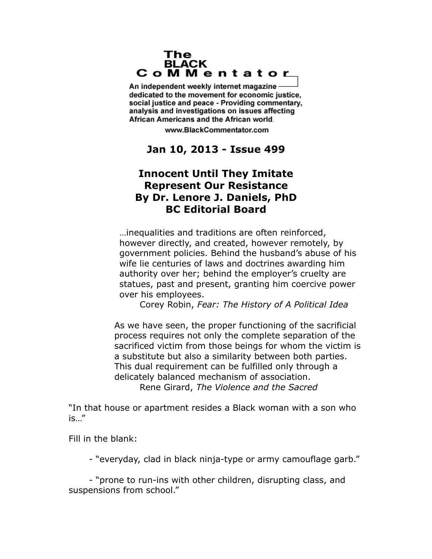#### The **BLACK** CoMMentator

An independent weekly internet magazine dedicated to the movement for economic justice. social justice and peace - Providing commentary, analysis and investigations on issues affecting African Americans and the African world.

www.BlackCommentator.com

# **Jan 10, 2013 - Issue 499**

# **Innocent Until They Imitate Represent Our Resistance By Dr. Lenore J. Daniels, PhD BC Editorial Board**

…inequalities and traditions are often reinforced, however directly, and created, however remotely, by government policies. Behind the husband's abuse of his wife lie centuries of laws and doctrines awarding him authority over her; behind the employer's cruelty are statues, past and present, granting him coercive power over his employees.

Corey Robin, *Fear: The History of A Political Idea*

As we have seen, the proper functioning of the sacrificial process requires not only the complete separation of the sacrificed victim from those beings for whom the victim is a substitute but also a similarity between both parties. This dual requirement can be fulfilled only through a delicately balanced mechanism of association. Rene Girard, *The Violence and the Sacred*

"In that house or apartment resides a Black woman with a son who is…"

Fill in the blank:

- "everyday, clad in black ninja-type or army camouflage garb."

- "prone to run-ins with other children, disrupting class, and suspensions from school."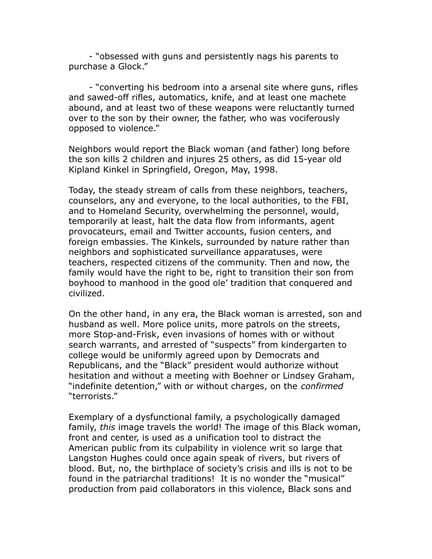- "obsessed with guns and persistently nags his parents to purchase a Glock."

- "converting his bedroom into a arsenal site where guns, rifles and sawed-off rifles, automatics, knife, and at least one machete abound, and at least two of these weapons were reluctantly turned over to the son by their owner, the father, who was vociferously opposed to violence."

Neighbors would report the Black woman (and father) long before the son kills 2 children and injures 25 others, as did 15-year old Kipland Kinkel in Springfield, Oregon, May, 1998.

Today, the steady stream of calls from these neighbors, teachers, counselors, any and everyone, to the local authorities, to the FBI, and to Homeland Security, overwhelming the personnel, would, temporarily at least, halt the data flow from informants, agent provocateurs, email and Twitter accounts, fusion centers, and foreign embassies. The Kinkels, surrounded by nature rather than neighbors and sophisticated surveillance apparatuses, were teachers, respected citizens of the community. Then and now, the family would have the right to be, right to transition their son from boyhood to manhood in the good ole' tradition that conquered and civilized.

On the other hand, in any era, the Black woman is arrested, son and husband as well. More police units, more patrols on the streets, more Stop-and-Frisk, even invasions of homes with or without search warrants, and arrested of "suspects" from kindergarten to college would be uniformly agreed upon by Democrats and Republicans, and the "Black" president would authorize without hesitation and without a meeting with Boehner or Lindsey Graham, "indefinite detention," with or without charges, on the *confirmed* "terrorists."

Exemplary of a dysfunctional family, a psychologically damaged family, *this* image travels the world! The image of this Black woman, front and center, is used as a unification tool to distract the American public from its culpability in violence writ so large that Langston Hughes could once again speak of rivers, but rivers of blood. But, no, the birthplace of society's crisis and ills is not to be found in the patriarchal traditions! It is no wonder the "musical" production from paid collaborators in this violence, Black sons and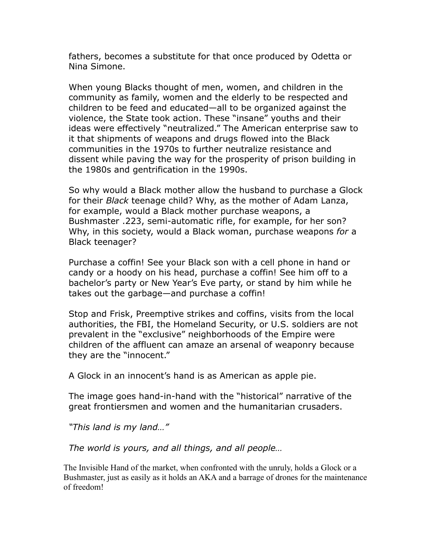fathers, becomes a substitute for that once produced by Odetta or Nina Simone.

When young Blacks thought of men, women, and children in the community as family, women and the elderly to be respected and children to be feed and educated—all to be organized against the violence, the State took action. These "insane" youths and their ideas were effectively "neutralized." The American enterprise saw to it that shipments of weapons and drugs flowed into the Black communities in the 1970s to further neutralize resistance and dissent while paving the way for the prosperity of prison building in the 1980s and gentrification in the 1990s.

So why would a Black mother allow the husband to purchase a Glock for their *Black* teenage child? Why, as the mother of Adam Lanza, for example, would a Black mother purchase weapons, a Bushmaster .223, semi-automatic rifle, for example, for her son? Why, in this society, would a Black woman, purchase weapons *for* a Black teenager?

Purchase a coffin! See your Black son with a cell phone in hand or candy or a hoody on his head, purchase a coffin! See him off to a bachelor's party or New Year's Eve party, or stand by him while he takes out the garbage—and purchase a coffin!

Stop and Frisk, Preemptive strikes and coffins, visits from the local authorities, the FBI, the Homeland Security, or U.S. soldiers are not prevalent in the "exclusive" neighborhoods of the Empire were children of the affluent can amaze an arsenal of weaponry because they are the "innocent."

A Glock in an innocent's hand is as American as apple pie.

The image goes hand-in-hand with the "historical" narrative of the great frontiersmen and women and the humanitarian crusaders.

*"This land is my land…"*

*The world is yours, and all things, and all people…*

The Invisible Hand of the market, when confronted with the unruly, holds a Glock or a Bushmaster, just as easily as it holds an AKA and a barrage of drones for the maintenance of freedom!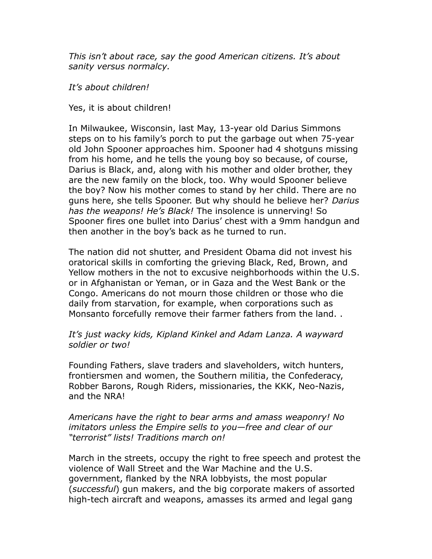*This isn't about race, say the good American citizens. It's about sanity versus normalcy.*

*It's about children!* 

Yes, it is about children!

In Milwaukee, Wisconsin, last May, 13-year old Darius Simmons steps on to his family's porch to put the garbage out when 75-year old John Spooner approaches him. Spooner had 4 shotguns missing from his home, and he tells the young boy so because, of course, Darius is Black, and, along with his mother and older brother, they are the new family on the block, too. Why would Spooner believe the boy? Now his mother comes to stand by her child. There are no guns here, she tells Spooner. But why should he believe her? *Darius has the weapons! He's Black!* The insolence is unnerving! So Spooner fires one bullet into Darius' chest with a 9mm handgun and then another in the boy's back as he turned to run.

The nation did not shutter, and President Obama did not invest his oratorical skills in comforting the grieving Black, Red, Brown, and Yellow mothers in the not to excusive neighborhoods within the U.S. or in Afghanistan or Yeman, or in Gaza and the West Bank or the Congo. Americans do not mourn those children or those who die daily from starvation, for example, when corporations such as Monsanto forcefully remove their farmer fathers from the land. .

### *It's just wacky kids, Kipland Kinkel and Adam Lanza. A wayward soldier or two!*

Founding Fathers, slave traders and slaveholders, witch hunters, frontiersmen and women, the Southern militia, the Confederacy, Robber Barons, Rough Riders, missionaries, the KKK, Neo-Nazis, and the NRA!

#### *Americans have the right to bear arms and amass weaponry! No imitators unless the Empire sells to you—free and clear of our "terrorist" lists! Traditions march on!*

March in the streets, occupy the right to free speech and protest the violence of Wall Street and the War Machine and the U.S. government, flanked by the NRA lobbyists, the most popular (*successful*) gun makers, and the big corporate makers of assorted high-tech aircraft and weapons, amasses its armed and legal gang